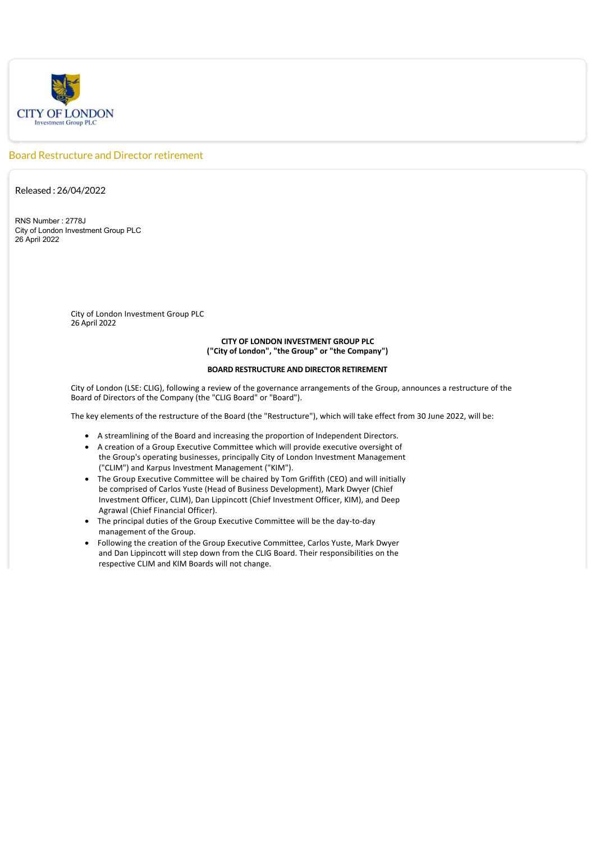

## Board Restructure and Director retirement

Released : 26/04/2022

RNS Number : 2778J City of London Investment Group PLC 26 April 2022

> City of London Investment Group PLC 26 April 2022

## **CITY OF LONDON INVESTMENT GROUP PLC ("City of London", "the Group" or "the Company")**

## **BOARD RESTRUCTURE AND DIRECTOR RETIREMENT**

City of London (LSE: CLIG), following a review of the governance arrangements of the Group, announces a restructure of the Board of Directors of the Company (the "CLIG Board" or "Board").

The key elements of the restructure of the Board (the "Restructure"), which will take effect from 30 June 2022, will be:

- · A streamlining of the Board and increasing the proportion of Independent Directors.
- · A creation of a Group Executive Committee which will provide executive oversight of the Group's operating businesses, principally City of London Investment Management ("CLIM") and Karpus Investment Management ("KIM").
- · The Group Executive Committee will be chaired by Tom Griffith (CEO) and will initially be comprised of Carlos Yuste (Head of Business Development), Mark Dwyer (Chief Investment Officer, CLIM), Dan Lippincott (Chief Investment Officer, KIM), and Deep Agrawal (Chief Financial Officer).
- · The principal duties of the Group Executive Committee will be the day‐to‐day management of the Group.
- · Following the creation of the Group Executive Committee, Carlos Yuste, Mark Dwyer and Dan Lippincott will step down from the CLIG Board. Their responsibilities on the respective CLIM and KIM Boards will not change.